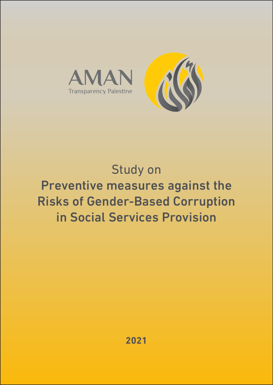

## Study on Preventive measures against the Risks of Gender-Based Corruption in Social Services Provision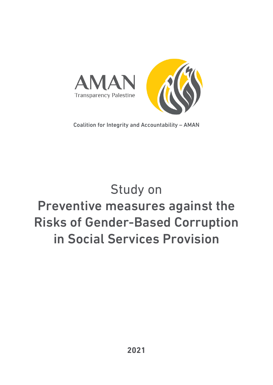

Coalition for Integrity and Accountability – AMAN

# Study on Preventive measures against the Risks of Gender-Based Corruption in Social Services Provision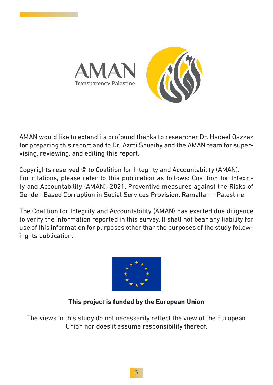

AMAN would like to extend its profound thanks to researcher Dr. Hadeel Qazzaz for preparing this report and to Dr. Azmi Shuaiby and the AMAN team for supervising, reviewing, and editing this report.

Copyrights reserved © to Coalition for Integrity and Accountability (AMAN). For citations, please refer to this publication as follows: Coalition for Integrity and Accountability (AMAN). 2021. Preventive measures against the Risks of Gender-Based Corruption in Social Services Provision. Ramallah – Palestine.

The Coalition for Integrity and Accountability (AMAN) has exerted due diligence to verify the information reported in this survey. It shall not bear any liability for use of this information for purposes other than the purposes of the study following its publication.



## **This project is funded by the European Union**

The views in this study do not necessarily reflect the view of the European Union nor does it assume responsibility thereof.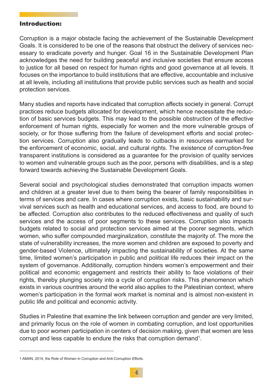#### Introduction:

Corruption is a major obstacle facing the achievement of the Sustainable Development Goals. It is considered to be one of the reasons that obstruct the delivery of services necessary to eradicate poverty and hunger. Goal 16 in the Sustainable Development Plan acknowledges the need for building peaceful and inclusive societies that ensure access to justice for all based on respect for human rights and good governance at all levels. It focuses on the importance to build institutions that are effective, accountable and inclusive at all levels, including all institutions that provide public services such as health and social protection services.

Many studies and reports have indicated that corruption affects society in general. Corrupt practices reduce budgets allocated for development, which hence necessitate the reduction of basic services budgets. This may lead to the possible obstruction of the effective enforcement of human rights, especially for women and the more vulnerable groups of society, or for those suffering from the failure of development efforts and social protection services. Corruption also gradually leads to cutbacks in resources earmarked for the enforcement of economic, social, and cultural rights. The existence of corruption-free transparent institutions is considered as a guarantee for the provision of quality services to women and vulnerable groups such as the poor, persons with disabilities, and is a step forward towards achieving the Sustainable Development Goals.

Several social and psychological studies demonstrated that corruption impacts women and children at a greater level due to them being the bearer of family responsibilities in terms of services and care. In cases where corruption exists, basic sustainability and survival services such as health and educational services, and access to food, are bound to be affected. Corruption also contributes to the reduced effectiveness and quality of such services and the access of poor segments to these services. Corruption also impacts budgets related to social and protection services aimed at the poorer segments, which women, who suffer compounded marginalization, constitute the majority of. The more the state of vulnerability increases, the more women and children are exposed to poverty and gender-based Violence, ultimately impacting the sustainability of societies. At the same time, limited women's participation in public and political life reduces their impact on the system of governance. Additionally, corruption hinders women's empowerment and their political and economic engagement and restricts their ability to face violations of their rights, thereby plunging society into a cycle of corruption risks. This phenomenon which exists in various countries around the world also applies to the Palestinian context, where women's participation in the formal work market is nominal and is almost non-existent in public life and political and economic activity.

Studies in Palestine that examine the link between corruption and gender are very limited, and primarily focus on the role of women in combating corruption, and lost opportunities due to poor women participation in centers of decision making, given that women are less corrupt and less capable to endure the risks that corruption demand<sup>1</sup>.

<sup>1</sup> AMAN, 2014, the Role of Women in Corruption and Anti-Corruption Efforts.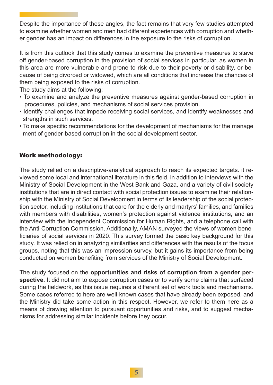Despite the importance of these angles, the fact remains that very few studies attempted to examine whether women and men had different experiences with corruption and whether gender has an impact on differences in the exposure to the risks of corruption.

It is from this outlook that this study comes to examine the preventive measures to stave off gender-based corruption in the provision of social services in particular, as women in this area are more vulnerable and prone to risk due to their poverty or disability, or because of being divorced or widowed, which are all conditions that increase the chances of them being exposed to the risks of corruption.

The study aims at the following:

- To examine and analyze the preventive measures against gender-based corruption in procedures, policies, and mechanisms of social services provision.
- Identify challenges that impede receiving social services, and identify weaknesses and strengths in such services.
- To make specific recommendations for the development of mechanisms for the manage ment of gender-based corruption in the social development sector.

#### Work methodology:

The study relied on a descriptive-analytical approach to reach its expected targets. it reviewed some local and international literature in this field, in addition to interviews with the Ministry of Social Development in the West Bank and Gaza, and a variety of civil society institutions that are in direct contact with social protection issues to examine their relationship with the Ministry of Social Development in terms of its leadership of the social protection sector, including institutions that care for the elderly and martyrs' families, and families with members with disabilities, women's protection against violence institutions, and an interview with the Independent Commission for Human Rights, and a telephone call with the Anti-Corruption Commission. Additionally, AMAN surveyed the views of women beneficiaries of social services in 2020. This survey formed the basic key background for this study. It was relied on in analyzing similarities and differences with the results of the focus groups, noting that this was an impression survey, but it gains its importance from being conducted on women benefiting from services of the Ministry of Social Development.

The study focused on the **opportunities and risks of corruption from a gender perspective.** It did not aim to expose corruption cases or to verify some claims that surfaced during the fieldwork, as this issue requires a different set of work tools and mechanisms. Some cases referred to here are well-known cases that have already been exposed, and the Ministry did take some action in this respect. However, we refer to them here as a means of drawing attention to pursuant opportunities and risks, and to suggest mechanisms for addressing similar incidents before they occur.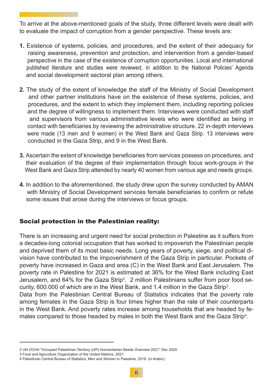To arrive at the above-mentioned goals of the study, three different levels were dealt with to evaluate the impact of corruption from a gender perspective. These levels are:

- **1.** Existence of systems, policies, and procedures, and the extent of their adequacy for raising awareness, prevention and protection, and intervention from a gender-based perspective in the case of the existence of corruption opportunities. Local and international published literature and studies were reviewed, in addition to the National Policies' Agenda and social development sectoral plan among others.
- **2.** The study of the extent of knowledge the staff of the Ministry of Social Development and other partner institutions have on the existence of these systems, policies, and procedures, and the extent to which they implement them, including reporting policies and the degree of willingness to implement them. Interviews were conducted with staff and supervisors from various administrative levels who were identified as being in contact with beneficiaries by reviewing the administrative structure. 22 in-depth interviews were made (13 men and 9 women) in the West Bank and Gaza Strip. 13 interviews were conducted in the Gaza Strip, and 9 in the West Bank.
- **3.** Ascertain the extent of knowledge beneficiaries from services possess on procedures, and their evaluation of the degree of their implementation through focus work-groups in the West Bank and Gaza Strip attended by nearly 40 women from various age and needs groups.
- **4.** In addition to the aforementioned, the study drew upon the survey conducted by AMAN with Ministry of Social Development services female beneficiaries to confirm or refute some issues that arose during the interviews or focus groups.

## Social protection in the Palestinian reality:

There is an increasing and urgent need for social protection in Palestine as it suffers from a decades-long colonial occupation that has worked to impoverish the Palestinian people and deprived them of its most basic needs. Long years of poverty, siege, and political division have contributed to the impoverishment of the Gaza Strip in particular. Pockets of poverty have increased in Gaza and area (C) in the West Bank and East Jerusalem. The poverty rate in Palestine for 2021 is estimated at 36% for the West Bank including East Jerusalem, and 64% for the Gaza Strip $^2$ . 2 million Palestinians suffer from poor food security, 600.000 of which are in the West Bank, and 1.4 million in the Gaza Strip $^{\rm 3}$ . Data from the Palestinian Central Bureau of Statistics indicates that the poverty rate among females in the Gaza Strip is four times higher than the rate of their counterparts in the West Bank. And poverty rates increase among households that are headed by females compared to those headed by males in both the West Bank and the Gaza Strip4 .

<sup>2</sup> UN OCHA "Occupied Palestinian Territory (oPt) Humanitarian Needs Overview 2021" Dec 2020

<sup>3</sup> Food and Agriculture Organization of the United Nations, 2021

<sup>4</sup> Palestinian Central Bureau of Statistics, Men and Women in Palestine, 2018. (in Arabic).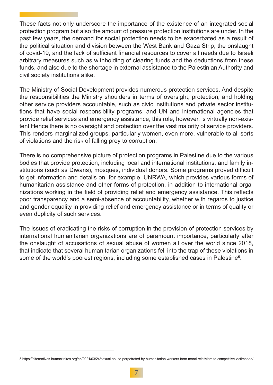These facts not only underscore the importance of the existence of an integrated social protection program but also the amount of pressure protection institutions are under. In the past few years, the demand for social protection needs to be exacerbated as a result of the political situation and division between the West Bank and Gaza Strip, the onslaught of covid-19, and the lack of sufficient financial resources to cover all needs due to Israeli arbitrary measures such as withholding of clearing funds and the deductions from these funds, and also due to the shortage in external assistance to the Palestinian Authority and civil society institutions alike.

The Ministry of Social Development provides numerous protection services. And despite the responsibilities the Ministry shoulders in terms of oversight, protection, and holding other service providers accountable, such as civic institutions and private sector institutions that have social responsibility programs, and UN and international agencies that provide relief services and emergency assistance, this role, however, is virtually non-existent Hence there is no oversight and protection over the vast majority of service providers. This renders marginalized groups, particularly women, even more, vulnerable to all sorts of violations and the risk of falling prey to corruption.

There is no comprehensive picture of protection programs in Palestine due to the various bodies that provide protection, including local and international institutions, and family institutions (such as Diwans), mosques, individual donors. Some programs proved difficult to get information and details on, for example, UNRWA, which provides various forms of humanitarian assistance and other forms of protection, in addition to international organizations working in the field of providing relief and emergency assistance. This reflects poor transparency and a semi-absence of accountability, whether with regards to justice and gender equality in providing relief and emergency assistance or in terms of quality or even duplicity of such services.

The issues of eradicating the risks of corruption in the provision of protection services by international humanitarian organizations are of paramount importance, particularly after the onslaught of accusations of sexual abuse of women all over the world since 2018, that indicate that several humanitarian organizations fell into the trap of these violations in some of the world's poorest regions, including some established cases in Palestine<sup>5</sup>.

<sup>5</sup> https://alternatives-humanitaires.org/en/2021/03/24/sexual-abuse-perpetrated-by-humanitarian-workers-from-moral-relativism-to-competitive-victimhood/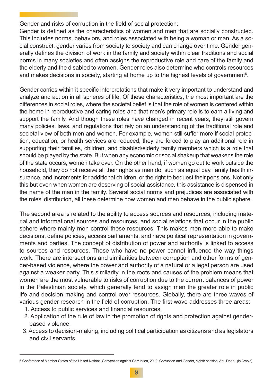Gender and risks of corruption in the field of social protection:

Gender is defined as the characteristics of women and men that are socially constructed. This includes norms, behaviors, and roles associated with being a woman or man. As a social construct, gender varies from society to society and can change over time. Gender generally defines the division of work in the family and society within clear traditions and social norms in many societies and often assigns the reproductive role and care of the family and the elderly and the disabled to women. Gender roles also determine who controls resources and makes decisions in society, starting at home up to the highest levels of government $\rm ^6.$ 

Gender carries within it specific interpretations that make it very important to understand and analyze and act on in all spheres of life. Of these characteristics, the most important are the differences in social roles, where the societal belief is that the role of women is centered within the home in reproductive and caring roles and that men's primary role is to earn a living and support the family. And though these roles have changed in recent years, they still govern many policies, laws, and regulations that rely on an understanding of the traditional role and societal view of both men and women. For example, women still suffer more if social protection, education, or health services are reduced, they are forced to play an additional role in supporting their families, children, and disabled/elderly family members which is a role that should be played by the state. But when any economic or social shakeup that weakens the role of the state occurs, women take over. On the other hand, if women go out to work outside the household, they do not receive all their rights as men do, such as equal pay, family health insurance, and increments for additional children, or the right to bequest their pensions. Not only this but even when women are deserving of social assistance, this assistance is dispensed in the name of the man in the family. Several social norms and prejudices are associated with the roles' distribution, all these determine how women and men behave in the public sphere.

The second area is related to the ability to access sources and resources, including material and informational sources and resources, and social relations that occur in the public sphere where mainly men control these resources. This makes men more able to make decisions, define policies, access parliaments, and have political representation in governments and parties. The concept of distribution of power and authority is linked to access to sources and resources. Those who have no power cannot influence the way things work. There are intersections and similarities between corruption and other forms of gender-based violence, where the power and authority of a natural or a legal person are used against a weaker party. This similarity in the roots and causes of the problem means that women are the most vulnerable to risks of corruption due to the current balances of power in the Palestinian society, which generally tend to assign men the greater role in public life and decision making and control over resources. Globally, there are three waves of various gender research in the field of corruption. The first wave addresses three areas:

- 1. Access to public services and financial resources.
- 2. Application of the rule of law in the promotion of rights and protection against gender based violence.
- 3. Access to decision-making, including political participation as citizens and as legislators and civil servants.

<sup>6</sup> Conference of Member States of the United Nations' Convention against Corruption, 2019, Corruption and Gender, eighth session, Abu Dhabi. (in Arabic).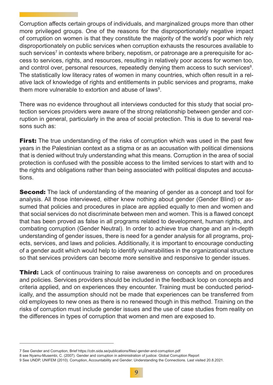Corruption affects certain groups of individuals, and marginalized groups more than other more privileged groups. One of the reasons for the disproportionately negative impact of corruption on women is that they constitute the majority of the world's poor which rely disproportionately on public services when corruption exhausts the resources available to such services<sup>7</sup> in contexts where bribery, nepotism, or patronage are a prerequisite for access to services, rights, and resources, resulting in relatively poor access for women too, and control over, personal resources, repeatedly denying them access to such services<sup>8</sup>. The statistically low literacy rates of women in many countries, which often result in a relative lack of knowledge of rights and entitlements in public services and programs, make them more vulnerable to extortion and abuse of laws $^9$ .

There was no evidence throughout all interviews conducted for this study that social protection services providers were aware of the strong relationship between gender and corruption in general, particularly in the area of social protection. This is due to several reasons such as:

**First:** The true understanding of the risks of corruption which was used in the past few years in the Palestinian context as a stigma or as an accusation with political dimensions that is denied without truly understanding what this means. Corruption in the area of social protection is confused with the possible access to the limited services to start with and to the rights and obligations rather than being associated with political disputes and accusations.

**Second:** The lack of understanding of the meaning of gender as a concept and tool for analysis. All those interviewed, either knew nothing about gender (Gender Blind) or assumed that policies and procedures in place are applied equally to men and women and that social services do not discriminate between men and women. This is a flawed concept that has been proved as false in all programs related to development, human rights, and combating corruption (Gender Neutral). In order to achieve true change and an in-depth understanding of gender issues, there is need for a gender analysis for all programs, projects, services, and laws and policies. Additionally, it is important to encourage conducting of a gender audit which would help to identify vulnerabilities in the organizational structure so that services providers can become more sensitive and responsive to gender issues.

**Third:** Lack of continuous training to raise awareness on concepts and on procedures and policies. Services providers should be included in the feedback loop on concepts and criteria applied, and on experiences they encounter. Training must be conducted periodically, and the assumption should not be made that experiences can be transferred from old employees to new ones as there is no renewed though in this method. Training on the risks of corruption must include gender issues and the use of case studies from reality on the differences in types of corruption that women and men are exposed to.

<sup>7</sup> See Gender and Corruption, Brief https://cdn.sida.se/publications/files/-gender-and-corruption.pdf

<sup>8</sup> see Nyamu-Musembi, C. (2007). Gender and corruption in administration of justice: Global Corruption Report

<sup>9</sup> See UNDP, UNIFEM (2010). Corruption, Accountability and Gender: Understanding the Connections. Last visited 20.8.2021.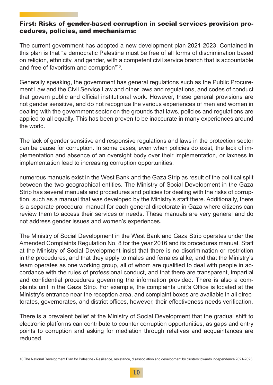#### First: Risks of gender-based corruption in social services provision procedures, policies, and mechanisms:

The current government has adopted a new development plan 2021-2023. Contained in this plan is that "a democratic Palestine must be free of all forms of discrimination based on religion, ethnicity, and gender, with a competent civil service branch that is accountable and free of favoritism and corruption"10.

Generally speaking, the government has general regulations such as the Public Procurement Law and the Civil Service Law and other laws and regulations, and codes of conduct that govern public and official institutional work. However, these general provisions are not gender sensitive, and do not recognize the various experiences of men and women in dealing with the government sector on the grounds that laws, policies and regulations are applied to all equally. This has been proven to be inaccurate in many experiences around the world.

The lack of gender sensitive and responsive regulations and laws in the protection sector can be cause for corruption. In some cases, even when policies do exist, the lack of implementation and absence of an oversight body over their implementation, or laxness in implementation lead to increasing corruption opportunities.

numerous manuals exist in the West Bank and the Gaza Strip as result of the political split between the two geographical entities. The Ministry of Social Development in the Gaza Strip has several manuals and procedures and policies for dealing with the risks of corruption, such as a manual that was developed by the Ministry's staff there. Additionally, there is a separate procedural manual for each general directorate in Gaza where citizens can review them to access their services or needs. These manuals are very general and do not address gender issues and women's experiences.

The Ministry of Social Development in the West Bank and Gaza Strip operates under the Amended Complaints Regulation No. 8 for the year 2016 and its procedures manual. Staff at the Ministry of Social Development insist that there is no discrimination or restriction in the procedures, and that they apply to males and females alike, and that the Ministry's team operates as one working group, all of whom are qualified to deal with people in accordance with the rules of professional conduct, and that there are transparent, impartial and confidential procedures governing the information provided. There is also a complaints unit in the Gaza Strip. For example, the complaints unit's Office is located at the Ministry's entrance near the reception area, and complaint boxes are available in all directorates, governorates, and district offices, however, their effectiveness needs verification.

There is a prevalent belief at the Ministry of Social Development that the gradual shift to electronic platforms can contribute to counter corruption opportunities, as gaps and entry points to corruption and asking for mediation through relatives and acquaintances are reduced.

<sup>10</sup> The National Development Plan for Palestine - Resilience, resistance, disassociation and development by clusters towards independence 2021-2023.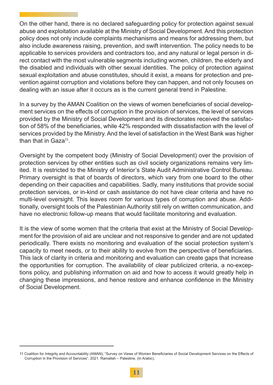On the other hand, there is no declared safeguarding policy for protection against sexual abuse and exploitation available at the Ministry of Social Development. And this protection policy does not only include complaints mechanisms and means for addressing them, but also include awareness raising, prevention, and swift intervention. The policy needs to be applicable to services providers and contractors too, and any natural or legal person in direct contact with the most vulnerable segments including women, children, the elderly and the disabled and individuals with other sexual identities. The policy of protection against sexual exploitation and abuse constitutes, should it exist, a means for protection and prevention against corruption and violations before they can happen, and not only focuses on dealing with an issue after it occurs as is the current general trend in Palestine.

In a survey by the AMAN Coalition on the views of women beneficiaries of social development services on the effects of corruption in the provision of services, the level of services provided by the Ministry of Social Development and its directorates received the satisfaction of 58% of the beneficiaries, while 42% responded with dissatisfaction with the level of services provided by the Ministry. And the level of satisfaction in the West Bank was higher than that in  $Gaza^{11}$ .

Oversight by the competent body (Ministry of Social Development) over the provision of protection services by other entities such as civil society organizations remains very limited. It is restricted to the Ministry of Interior's State Audit Administrative Control Bureau. Primary oversight is that of boards of directors, which vary from one board to the other depending on their capacities and capabilities. Sadly, many institutions that provide social protection services, or in-kind or cash assistance do not have clear criteria and have no multi-level oversight. This leaves room for various types of corruption and abuse. Additionally, oversight tools of the Palestinian Authority still rely on written communication, and have no electronic follow-up means that would facilitate monitoring and evaluation.

It is the view of some women that the criteria that exist at the Ministry of Social Development for the provision of aid are unclear and not responsive to gender and are not updated periodically. There exists no monitoring and evaluation of the social protection system's capacity to meet needs, or to their ability to evolve from the perspective of beneficiaries. This lack of clarity in criteria and monitoring and evaluation can create gaps that increase the opportunities for corruption. The availability of clear publicized criteria, a no-exceptions policy, and publishing information on aid and how to access it would greatly help in changing these impressions, and hence restore and enhance confidence in the Ministry of Social Development.

<sup>11</sup> Coalition for Integrity and Accountability (AMAN), "Survey on Views of Women Beneficiaries of Social Development Services on the Effects of Corruption in the Provision of Services". 2021. Ramallah – Palestine. (In Arabic).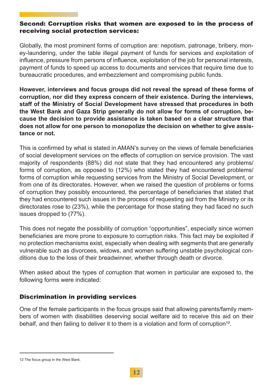#### Second: Corruption risks that women are exposed to in the process of receiving social protection services:

Globally, the most prominent forms of corruption are: nepotism, patronage, bribery, money-laundering, under the table illegal payment of funds for services and exploitation of influence, pressure from persons of influence, exploitation of the job for personal interests, payment of funds to speed up access to documents and services that require time due to bureaucratic procedures, and embezzlement and compromising public funds.

**However, interviews and focus groups did not reveal the spread of these forms of corruption, nor did they express concern of their existence. During the interviews, staff of the Ministry of Social Development have stressed that procedures in both the West Bank and Gaza Strip generally do not allow for forms of corruption, because the decision to provide assistance is taken based on a clear structure that does not allow for one person to monopolize the decision on whether to give assistance or not.**

This is confirmed by what is stated in AMAN's survey on the views of female beneficiaries of social development services on the effects of corruption on service provision. The vast majority of respondents (88%) did not state that they had encountered any problems/ forms of corruption, as opposed to (12%) who stated they had encountered problems/ forms of corruption while requesting services from the Ministry of Social Development, or from one of its directorates. However, when we raised the question of problems or forms of corruption they possibly encountered, the percentage of beneficiaries that stated that they had encountered such issues in the process of requesting aid from the Ministry or its directorates rose to (23%), while the percentage for those stating they had faced no such issues dropped to (77%).

This does not negate the possibility of corruption "opportunities", especially since women beneficiaries are more prone to exposure to corruption risks. This fact may be exploited if no protection mechanisms exist, especially when dealing with segments that are generally vulnerable such as divorcees, widows, and women suffering unstable psychological conditions due to the loss of their breadwinner, whether through death or divorce.

When asked about the types of corruption that women in particular are exposed to, the following forms were indicated:

## Discrimination in providing services

One of the female participants in the focus groups said that allowing parents/family members of women with disabilities deserving social welfare aid to receive this aid on their behalf, and then failing to deliver it to them is a violation and form of corruption<sup>12</sup>.

<sup>12</sup> The focus group in the West Bank.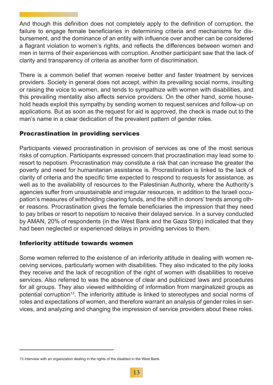And though this definition does not completely apply to the definition of corruption, the failure to engage female beneficiaries in determining criteria and mechanisms for disbursement, and the dominance of an entity with influence over another can be considered a flagrant violation to women's rights, and reflects the differences between women and men in terms of their experiences with corruption. Another participant saw that the lack of clarity and transparency of criteria as another form of discrimination.

There is a common belief that women receive better and faster treatment by services providers. Society in general does not accept, within its prevailing social norms, insulting or raising the voice to women, and tends to sympathize with women with disabilities, and this prevailing mentality also affects service providers. On the other hand, some household heads exploit this sympathy by sending women to request services and follow-up on applications. But as soon as the request for aid is approved, the check is made out to the man's name in a clear dedication of the prevalent pattern of gender roles.

## Procrastination in providing services

Participants viewed procrastination in provision of services as one of the most serious risks of corruption. Participants expressed concern that procrastination may lead some to resort to nepotism. Procrastination may constitute a risk that can increase the greater the poverty and need for humanitarian assistance is. Procrastination is linked to the lack of clarity of criteria and the specific time expected to respond to requests for assistance, as well as to the availability of resources to the Palestinian Authority, where the Authority's agencies suffer from unsustainable and irregular resources, in addition to the Israeli occupation's measures of withholding clearing funds, and the shift in donors' trends among other reasons. Procrastination gives the female beneficiaries the impression that they need to pay bribes or resort to nepotism to receive their delayed service. In a survey conducted by AMAN, 20% of respondents (in the West Bank and the Gaza Strip) indicated that they had been neglected or experienced delays in providing services to them.

## Inferiority attitude towards women

Some women referred to the existence of an inferiority attitude in dealing with women receiving services, particularly women with disabilities. They also indicated to the pity looks they receive and the lack of recognition of the right of women with disabilities to receive services. Also referred to was the absence of clear and publicized laws and procedures for all groups. They also viewed withholding of information from marginalized groups as potential corruption<sup>13</sup>. The inferiority attitude is linked to stereotypes and social norms of roles and expectations of women, and therefore warrant an analysis of gender roles in services, and analyzing and changing the impression of service providers about these roles.

<sup>13</sup> Interview with an organization dealing in the rights of the disabled in the West Bank.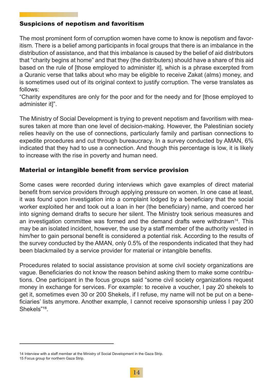#### Suspicions of nepotism and favoritism

The most prominent form of corruption women have come to know is nepotism and favoritism. There is a belief among participants in focal groups that there is an imbalance in the distribution of assistance, and that this imbalance is caused by the belief of aid distributors that "charity begins at home" and that they (the distributers) should have a share of this aid based on the rule of [those employed to administer it], which is a phrase excerpted from a Quranic verse that talks about who may be eligible to receive Zakat (alms) money, and is sometimes used out of its original context to justify corruption. The verse translates as follows:

"Charity expenditures are only for the poor and for the needy and for [those employed to administer it]".

The Ministry of Social Development is trying to prevent nepotism and favoritism with measures taken at more than one level of decision-making. However, the Palestinian society relies heavily on the use of connections, particularly family and partisan connections to expedite procedures and cut through bureaucracy. In a survey conducted by AMAN, 6% indicated that they had to use a connection. And though this percentage is low, it is likely to increase with the rise in poverty and human need.

#### Material or intangible benefit from service provision

Some cases were recorded during interviews which gave examples of direct material benefit from service providers through applying pressure on women. In one case at least, it was found upon investigation into a complaint lodged by a beneficiary that the social worker exploited her and took out a loan in her (the beneficiary) name, and coerced her into signing demand drafts to secure her silent. The Ministry took serious measures and an investigation committee was formed and the demand drafts were withdrawn<sup>14</sup>. This may be an isolated incident, however, the use by a staff member of the authority vested in him/her to gain personal benefit is considered a potential risk. According to the results of the survey conducted by the AMAN, only 0.5% of the respondents indicated that they had been blackmailed by a service provider for material or intangible benefits.

Procedures related to social assistance provision at some civil society organizations are vague. Beneficiaries do not know the reason behind asking them to make some contributions. One participant in the focus groups said "some civil society organizations request money in exchange for services. For example: to receive a voucher, I pay 20 shekels to get it, sometimes even 30 or 200 Shekels, if I refuse, my name will not be put on a beneficiaries' lists anymore. Another example, I cannot receive sponsorship unless I pay 200 Shekels"<sup>15</sup>.

<sup>14</sup> Interview with a staff member at the Ministry of Social Development in the Gaza Strip.

<sup>15</sup> Focus group for northern Gaza Strip.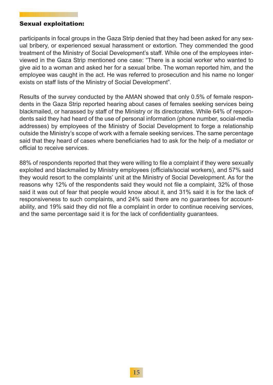#### Sexual exploitation:

participants in focal groups in the Gaza Strip denied that they had been asked for any sexual bribery, or experienced sexual harassment or extortion. They commended the good treatment of the Ministry of Social Development's staff. While one of the employees interviewed in the Gaza Strip mentioned one case: "There is a social worker who wanted to give aid to a woman and asked her for a sexual bribe. The woman reported him, and the employee was caught in the act. He was referred to prosecution and his name no longer exists on staff lists of the Ministry of Social Development".

Results of the survey conducted by the AMAN showed that only 0.5% of female respondents in the Gaza Strip reported hearing about cases of females seeking services being blackmailed, or harassed by staff of the Ministry or its directorates. While 64% of respondents said they had heard of the use of personal information (phone number, social-media addresses) by employees of the Ministry of Social Development to forge a relationship outside the Ministry's scope of work with a female seeking services. The same percentage said that they heard of cases where beneficiaries had to ask for the help of a mediator or official to receive services.

88% of respondents reported that they were willing to file a complaint if they were sexually exploited and blackmailed by Ministry employees (officials/social workers), and 57% said they would resort to the complaints' unit at the Ministry of Social Development. As for the reasons why 12% of the respondents said they would not file a complaint, 32% of those said it was out of fear that people would know about it, and 31% said it is for the lack of responsiveness to such complaints, and 24% said there are no guarantees for accountability, and 19% said they did not file a complaint in order to continue receiving services, and the same percentage said it is for the lack of confidentiality guarantees.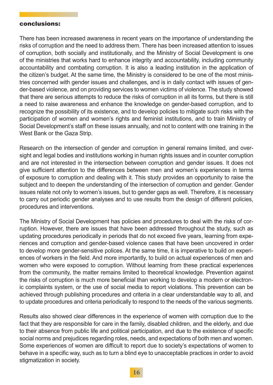#### conclusions:

There has been increased awareness in recent years on the importance of understanding the risks of corruption and the need to address them. There has been increased attention to issues of corruption, both socially and institutionally, and the Ministry of Social Development is one of the ministries that works hard to enhance integrity and accountability, including community accountability and combating corruption. It is also a leading institution in the application of the citizen's budget. At the same time, the Ministry is considered to be one of the most ministries concerned with gender issues and challenges, and is in daily contact with issues of gender-based violence, and on providing services to women victims of violence. The study showed that there are serious attempts to reduce the risks of corruption in all its forms, but there is still a need to raise awareness and enhance the knowledge on gender-based corruption, and to recognize the possibility of its existence, and to develop policies to mitigate such risks with the participation of women and women's rights and feminist institutions, and to train Ministry of Social Development's staff on these issues annually, and not to content with one training in the West Bank or the Gaza Strip.

Research on the intersection of gender and corruption in general remains limited, and oversight and legal bodies and institutions working in human rights issues and in counter corruption and are not interested in the intersection between corruption and gender issues. It does not give sufficient attention to the differences between men and women's experiences in terms of exposure to corruption and dealing with it. This study provides an opportunity to raise the subject and to deepen the understanding of the intersection of corruption and gender. Gender issues relate not only to women's issues, but to gender gaps as well. Therefore, it is necessary to carry out periodic gender analyses and to use results from the design of different policies, procedures and interventions.

The Ministry of Social Development has policies and procedures to deal with the risks of corruption. However, there are issues that have been addressed throughout the study, such as updating procedures periodically in periods that do not exceed five years, learning from experiences and corruption and gender-based violence cases that have been uncovered in order to develop more gender-sensitive polices. At the same time, it is imperative to build on experiences of workers in the field. And more importantly, to build on actual experiences of men and women who were exposed to corruption. Without learning from these practical experiences from the community, the matter remains limited to theoretical knowledge. Prevention against the risks of corruption is much more beneficial than working to develop a modern or electronic complaints system, or the use of social media to report violations. This prevention can be achieved through publishing procedures and criteria in a clear understandable way to all, and to update procedures and criteria periodically to respond to the needs of the various segments.

Results also showed clear differences in the experience of women with corruption due to the fact that they are responsible for care in the family, disabled children, and the elderly, and due to their absence from public life and political participation, and due to the existence of specific social norms and prejudices regarding roles, needs, and expectations of both men and women. Some experiences of women are difficult to report due to society's expectations of women to behave in a specific way, such as to turn a blind eye to unacceptable practices in order to avoid stigmatization in society.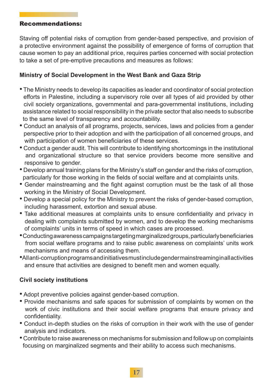#### Recommendations:

Staving off potential risks of corruption from gender-based perspective, and provision of a protective environment against the possibility of emergence of forms of corruption that cause women to pay an additional price, requires parties concerned with social protection to take a set of pre-emptive precautions and measures as follows:

#### **Ministry of Social Development in the West Bank and Gaza Strip**

- The Ministry needs to develop its capacities as leader and coordinator of social protection efforts in Palestine, including a supervisory role over all types of aid provided by other civil society organizations, governmental and para-governmental institutions, including assistance related to social responsibility in the private sector that also needs to subscribe to the same level of transparency and accountability.
- Conduct an analysis of all programs, projects, services, laws and policies from a gender perspective prior to their adoption and with the participation of all concerned groups, and with participation of women beneficiaries of these services.
- Conduct a gender audit. This will contribute to identifying shortcomings in the institutional and organizational structure so that service providers become more sensitive and responsive to gender.
- Develop annual training plans for the Ministry's staff on gender and the risks of corruption, particularly for those working in the fields of social welfare and at complaints units.
- Gender mainstreaming and the fight against corruption must be the task of all those working in the Ministry of Social Development.
- Develop a special policy for the Ministry to prevent the risks of gender-based corruption, including harassment, extortion and sexual abuse.
- Take additional measures at complaints units to ensure confidentiality and privacy in dealing with complaints submitted by women, and to develop the working mechanisms of complaints' units in terms of speed in which cases are processed.
- Conducting awareness campaigns targeting marginalized groups, particularly beneficiaries from social welfare programs and to raise public awareness on complaints' units work mechanisms and means of accessing them.
- All anti-corruption programs and initiatives must include gender mainstreaming in all activities and ensure that activities are designed to benefit men and women equally.

## **Civil society institutions**

- Adopt preventive policies against gender-based corruption.
- Provide mechanisms and safe spaces for submission of complaints by women on the work of civic institutions and their social welfare programs that ensure privacy and confidentiality.
- Conduct in-depth studies on the risks of corruption in their work with the use of gender analysis and indicators.
- Contribute to raise awareness on mechanisms for submission and follow up on complaints focusing on marginalized segments and their ability to access such mechanisms.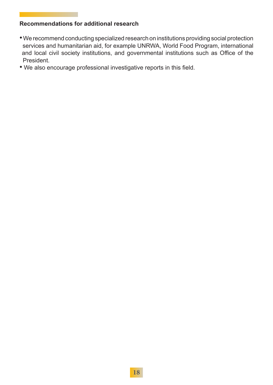#### **Recommendations for additional research**

- We recommend conducting specialized research on institutions providing social protection services and humanitarian aid, for example UNRWA, World Food Program, international and local civil society institutions, and governmental institutions such as Office of the President.
- We also encourage professional investigative reports in this field.